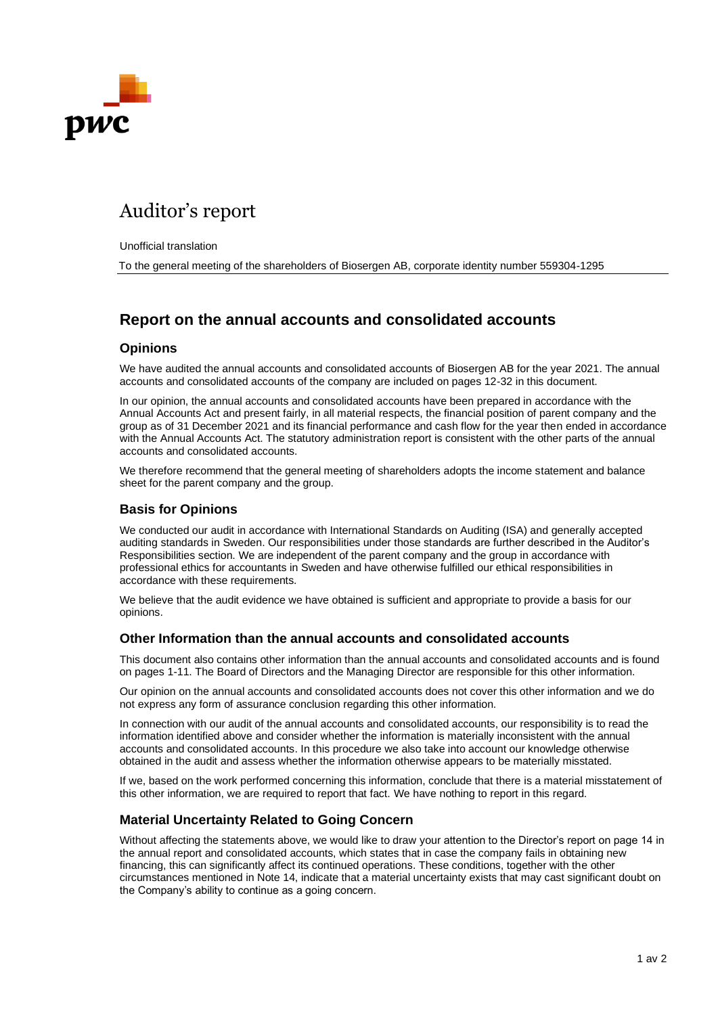

# Auditor's report

Unofficial translation

To the general meeting of the shareholders of Biosergen AB, corporate identity number 559304-1295

# **Report on the annual accounts and consolidated accounts**

#### **Opinions**

We have audited the annual accounts and consolidated accounts of Biosergen AB for the year 2021. The annual accounts and consolidated accounts of the company are included on pages 12-32 in this document.

In our opinion, the annual accounts and consolidated accounts have been prepared in accordance with the Annual Accounts Act and present fairly, in all material respects, the financial position of parent company and the group as of 31 December 2021 and its financial performance and cash flow for the year then ended in accordance with the Annual Accounts Act. The statutory administration report is consistent with the other parts of the annual accounts and consolidated accounts.

We therefore recommend that the general meeting of shareholders adopts the income statement and balance sheet for the parent company and the group.

#### **Basis for Opinions**

We conducted our audit in accordance with International Standards on Auditing (ISA) and generally accepted auditing standards in Sweden. Our responsibilities under those standards are further described in the Auditor's Responsibilities section. We are independent of the parent company and the group in accordance with professional ethics for accountants in Sweden and have otherwise fulfilled our ethical responsibilities in accordance with these requirements.

We believe that the audit evidence we have obtained is sufficient and appropriate to provide a basis for our opinions.

#### **Other Information than the annual accounts and consolidated accounts**

This document also contains other information than the annual accounts and consolidated accounts and is found on pages 1-11. The Board of Directors and the Managing Director are responsible for this other information.

Our opinion on the annual accounts and consolidated accounts does not cover this other information and we do not express any form of assurance conclusion regarding this other information.

In connection with our audit of the annual accounts and consolidated accounts, our responsibility is to read the information identified above and consider whether the information is materially inconsistent with the annual accounts and consolidated accounts. In this procedure we also take into account our knowledge otherwise obtained in the audit and assess whether the information otherwise appears to be materially misstated.

If we, based on the work performed concerning this information, conclude that there is a material misstatement of this other information, we are required to report that fact. We have nothing to report in this regard.

#### **Material Uncertainty Related to Going Concern**

Without affecting the statements above, we would like to draw your attention to the Director's report on page 14 in the annual report and consolidated accounts, which states that in case the company fails in obtaining new financing, this can significantly affect its continued operations. These conditions, together with the other circumstances mentioned in Note 14, indicate that a material uncertainty exists that may cast significant doubt on the Company's ability to continue as a going concern.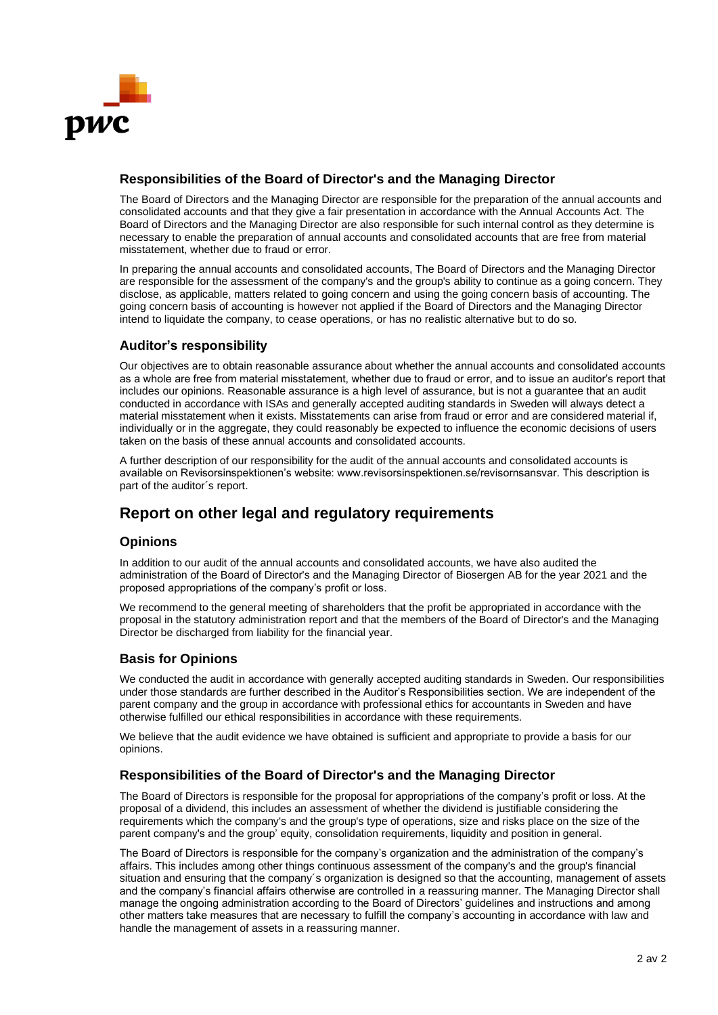

## **Responsibilities of the Board of Director's and the Managing Director**

The Board of Directors and the Managing Director are responsible for the preparation of the annual accounts and consolidated accounts and that they give a fair presentation in accordance with the Annual Accounts Act. The Board of Directors and the Managing Director are also responsible for such internal control as they determine is necessary to enable the preparation of annual accounts and consolidated accounts that are free from material misstatement, whether due to fraud or error.

In preparing the annual accounts and consolidated accounts, The Board of Directors and the Managing Director are responsible for the assessment of the company's and the group's ability to continue as a going concern. They disclose, as applicable, matters related to going concern and using the going concern basis of accounting. The going concern basis of accounting is however not applied if the Board of Directors and the Managing Director intend to liquidate the company, to cease operations, or has no realistic alternative but to do so.

## **Auditor's responsibility**

Our objectives are to obtain reasonable assurance about whether the annual accounts and consolidated accounts as a whole are free from material misstatement, whether due to fraud or error, and to issue an auditor's report that includes our opinions. Reasonable assurance is a high level of assurance, but is not a guarantee that an audit conducted in accordance with ISAs and generally accepted auditing standards in Sweden will always detect a material misstatement when it exists. Misstatements can arise from fraud or error and are considered material if, individually or in the aggregate, they could reasonably be expected to influence the economic decisions of users taken on the basis of these annual accounts and consolidated accounts.

A further description of our responsibility for the audit of the annual accounts and consolidated accounts is available on Revisorsinspektionen's website: www.revisorsinspektionen.se/revisornsansvar. This description is part of the auditor´s report.

# **Report on other legal and regulatory requirements**

## **Opinions**

In addition to our audit of the annual accounts and consolidated accounts, we have also audited the administration of the Board of Director's and the Managing Director of Biosergen AB for the year 2021 and the proposed appropriations of the company's profit or loss.

We recommend to the general meeting of shareholders that the profit be appropriated in accordance with the proposal in the statutory administration report and that the members of the Board of Director's and the Managing Director be discharged from liability for the financial year.

## **Basis for Opinions**

We conducted the audit in accordance with generally accepted auditing standards in Sweden. Our responsibilities under those standards are further described in the Auditor's Responsibilities section. We are independent of the parent company and the group in accordance with professional ethics for accountants in Sweden and have otherwise fulfilled our ethical responsibilities in accordance with these requirements.

We believe that the audit evidence we have obtained is sufficient and appropriate to provide a basis for our opinions.

## **Responsibilities of the Board of Director's and the Managing Director**

The Board of Directors is responsible for the proposal for appropriations of the company's profit or loss. At the proposal of a dividend, this includes an assessment of whether the dividend is justifiable considering the requirements which the company's and the group's type of operations, size and risks place on the size of the parent company's and the group' equity, consolidation requirements, liquidity and position in general.

The Board of Directors is responsible for the company's organization and the administration of the company's affairs. This includes among other things continuous assessment of the company's and the group's financial situation and ensuring that the company's organization is designed so that the accounting, management of assets and the company's financial affairs otherwise are controlled in a reassuring manner. The Managing Director shall manage the ongoing administration according to the Board of Directors' guidelines and instructions and among other matters take measures that are necessary to fulfill the company's accounting in accordance with law and handle the management of assets in a reassuring manner.